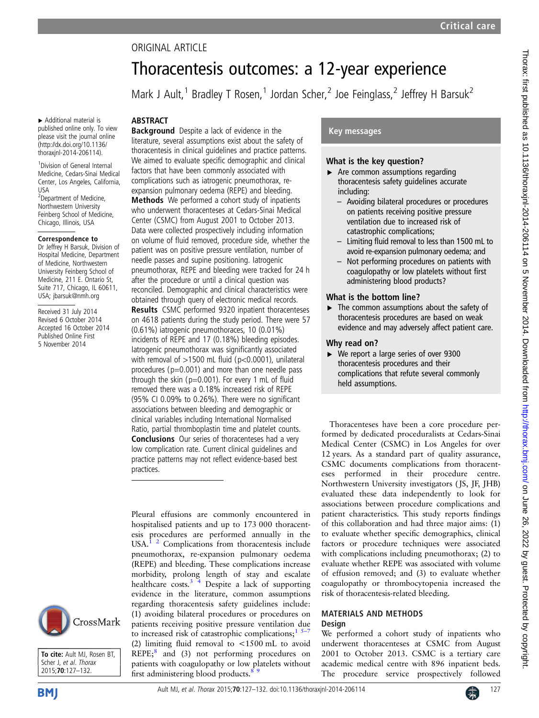# ORIGINAL ARTICLE Thoracentesis outcomes: a 12-year experience

Mark J Ault,<sup>1</sup> Bradley T Rosen,<sup>1</sup> Jordan Scher,<sup>2</sup> Joe Feinglass,<sup>2</sup> Jeffrey H Barsuk<sup>2</sup>

▸ Additional material is published online only. To view please visit the journal online [\(http://dx.doi.org/10.1136/](http://dx.doi.org/10.1136/thoraxjnl-2014-206114) [thoraxjnl-2014-206114\)](http://dx.doi.org/10.1136/thoraxjnl-2014-206114).

1 Division of General Internal Medicine, Cedars-Sinai Medical Center, Los Angeles, California, USA

<sup>2</sup> Department of Medicine, Northwestern University Feinberg School of Medicine, Chicago, Illinois, USA

#### Correspondence to

Dr Jeffrey H Barsuk, Division of Hospital Medicine, Department of Medicine, Northwestern University Feinberg School of Medicine, 211 E. Ontario St, Suite 717, Chicago, IL 60611, USA; jbarsuk@nmh.org

Received 31 July 2014 Revised 6 October 2014 Accepted 16 October 2014 Published Online First 5 November 2014

**ABSTRACT** 

Background Despite a lack of evidence in the literature, several assumptions exist about the safety of thoracentesis in clinical guidelines and practice patterns. We aimed to evaluate specific demographic and clinical factors that have been commonly associated with complications such as iatrogenic pneumothorax, reexpansion pulmonary oedema (REPE) and bleeding.

Methods We performed a cohort study of inpatients who underwent thoracenteses at Cedars-Sinai Medical Center (CSMC) from August 2001 to October 2013. Data were collected prospectively including information on volume of fluid removed, procedure side, whether the patient was on positive pressure ventilation, number of needle passes and supine positioning. Iatrogenic pneumothorax, REPE and bleeding were tracked for 24 h after the procedure or until a clinical question was reconciled. Demographic and clinical characteristics were obtained through query of electronic medical records. Results CSMC performed 9320 inpatient thoracenteses on 4618 patients during the study period. There were 57 (0.61%) iatrogenic pneumothoraces, 10 (0.01%) incidents of REPE and 17 (0.18%) bleeding episodes. Iatrogenic pneumothorax was significantly associated with removal of  $>1500$  mL fluid ( $p < 0.0001$ ), unilateral procedures ( $p=0.001$ ) and more than one needle pass through the skin ( $p=0.001$ ). For every 1 mL of fluid removed there was a 0.18% increased risk of REPE (95% CI 0.09% to 0.26%). There were no significant associations between bleeding and demographic or clinical variables including International Normalised Ratio, partial thromboplastin time and platelet counts. Conclusions Our series of thoracenteses had a very low complication rate. Current clinical guidelines and practice patterns may not reflect evidence-based best practices.

Pleural effusions are commonly encountered in hospitalised patients and up to 173 000 thoracentesis procedures are performed annually in the USA.<sup>1</sup> <sup>2</sup> Complications from thoracentesis include pneumothorax, re-expansion pulmonary oedema (REPE) and bleeding. These complications increase morbidity, prolong length of stay and escalate healthcare costs. $3\overline{4}$  Despite a lack of supporting evidence in the literature, common assumptions regarding thoracentesis safety guidelines include: (1) avoiding bilateral procedures or procedures on patients receiving positive pressure ventilation due to increased risk of catastrophic complications; $1^{5-7}$ (2) limiting fluid removal to <1500 mL to avoid  $REPE;^{8}$  and (3) not performing procedures on patients with coagulopathy or low platelets without first administering blood products.<sup>8</sup>

# Key messages

# What is the key question?

- $\blacktriangleright$  Are common assumptions regarding thoracentesis safety guidelines accurate including:
	- Avoiding bilateral procedures or procedures on patients receiving positive pressure ventilation due to increased risk of catastrophic complications;
	- Limiting fluid removal to less than 1500 mL to avoid re-expansion pulmonary oedema; and
	- Not performing procedures on patients with coagulopathy or low platelets without first administering blood products?

# What is the bottom line?

▸ The common assumptions about the safety of thoracentesis procedures are based on weak evidence and may adversely affect patient care.

#### Why read on?

▸ We report a large series of over 9300 thoracentesis procedures and their complications that refute several commonly held assumptions.

Thoracenteses have been a core procedure performed by dedicated proceduralists at Cedars-Sinai Medical Center (CSMC) in Los Angeles for over 12 years. As a standard part of quality assurance, CSMC documents complications from thoracenteses performed in their procedure centre. Northwestern University investigators ( JS, JF, JHB) evaluated these data independently to look for associations between procedure complications and patient characteristics. This study reports findings of this collaboration and had three major aims: (1) to evaluate whether specific demographics, clinical factors or procedure techniques were associated with complications including pneumothorax; (2) to evaluate whether REPE was associated with volume of effusion removed; and (3) to evaluate whether coagulopathy or thrombocytopenia increased the risk of thoracentesis-related bleeding.

#### MATERIALS AND METHODS Design

We performed a cohort study of inpatients who underwent thoracenteses at CSMC from August 2001 to October 2013. CSMC is a tertiary care academic medical centre with 896 inpatient beds. The procedure service prospectively followed



To cite: Ault MJ, Rosen BT, Scher J, et al. Thorax 2015;70:127–132.

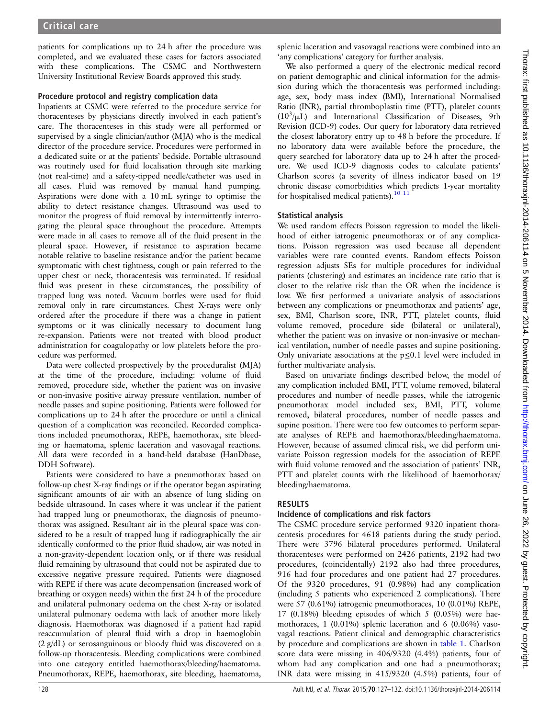patients for complications up to 24 h after the procedure was completed, and we evaluated these cases for factors associated with these complications. The CSMC and Northwestern University Institutional Review Boards approved this study.

# Procedure protocol and registry complication data

Inpatients at CSMC were referred to the procedure service for thoracenteses by physicians directly involved in each patient's care. The thoracenteses in this study were all performed or supervised by a single clinician/author (MJA) who is the medical director of the procedure service. Procedures were performed in a dedicated suite or at the patients' bedside. Portable ultrasound was routinely used for fluid localisation through site marking (not real-time) and a safety-tipped needle/catheter was used in all cases. Fluid was removed by manual hand pumping. Aspirations were done with a 10 mL syringe to optimise the ability to detect resistance changes. Ultrasound was used to monitor the progress of fluid removal by intermittently interrogating the pleural space throughout the procedure. Attempts were made in all cases to remove all of the fluid present in the pleural space. However, if resistance to aspiration became notable relative to baseline resistance and/or the patient became symptomatic with chest tightness, cough or pain referred to the upper chest or neck, thoracentesis was terminated. If residual fluid was present in these circumstances, the possibility of trapped lung was noted. Vacuum bottles were used for fluid removal only in rare circumstances. Chest X-rays were only ordered after the procedure if there was a change in patient symptoms or it was clinically necessary to document lung re-expansion. Patients were not treated with blood product administration for coagulopathy or low platelets before the procedure was performed.

Data were collected prospectively by the proceduralist (MJA) at the time of the procedure, including: volume of fluid removed, procedure side, whether the patient was on invasive or non-invasive positive airway pressure ventilation, number of needle passes and supine positioning. Patients were followed for complications up to 24 h after the procedure or until a clinical question of a complication was reconciled. Recorded complications included pneumothorax, REPE, haemothorax, site bleeding or haematoma, splenic laceration and vasovagal reactions. All data were recorded in a hand-held database (HanDbase, DDH Software).

Patients were considered to have a pneumothorax based on follow-up chest X-ray findings or if the operator began aspirating significant amounts of air with an absence of lung sliding on bedside ultrasound. In cases where it was unclear if the patient had trapped lung or pneumothorax, the diagnosis of pneumothorax was assigned. Resultant air in the pleural space was considered to be a result of trapped lung if radiographically the air identically conformed to the prior fluid shadow, air was noted in a non-gravity-dependent location only, or if there was residual fluid remaining by ultrasound that could not be aspirated due to excessive negative pressure required. Patients were diagnosed with REPE if there was acute decompensation (increased work of breathing or oxygen needs) within the first 24 h of the procedure and unilateral pulmonary oedema on the chest X-ray or isolated unilateral pulmonary oedema with lack of another more likely diagnosis. Haemothorax was diagnosed if a patient had rapid reaccumulation of pleural fluid with a drop in haemoglobin (2 g/dL) or serosanguinous or bloody fluid was discovered on a follow-up thoracentesis. Bleeding complications were combined into one category entitled haemothorax/bleeding/haematoma. Pneumothorax, REPE, haemothorax, site bleeding, haematoma,

splenic laceration and vasovagal reactions were combined into an 'any complications' category for further analysis.

We also performed a query of the electronic medical record on patient demographic and clinical information for the admission during which the thoracentesis was performed including: age, sex, body mass index (BMI), International Normalised Ratio (INR), partial thromboplastin time (PTT), platelet counts  $(10^3/\mu L)$  and International Classification of Diseases, 9th Revision (ICD-9) codes. Our query for laboratory data retrieved the closest laboratory entry up to 48 h before the procedure. If no laboratory data were available before the procedure, the query searched for laboratory data up to 24 h after the procedure. We used ICD-9 diagnosis codes to calculate patients' Charlson scores (a severity of illness indicator based on 19 chronic disease comorbidities which predicts 1-year mortality for hospitalised medical patients).<sup>10</sup><sup>11</sup>

# Statistical analysis

We used random effects Poisson regression to model the likelihood of either iatrogenic pneumothorax or of any complications. Poisson regression was used because all dependent variables were rare counted events. Random effects Poisson regression adjusts SEs for multiple procedures for individual patients (clustering) and estimates an incidence rate ratio that is closer to the relative risk than the OR when the incidence is low. We first performed a univariate analysis of associations between any complications or pneumothorax and patients' age, sex, BMI, Charlson score, INR, PTT, platelet counts, fluid volume removed, procedure side (bilateral or unilateral), whether the patient was on invasive or non-invasive or mechanical ventilation, number of needle passes and supine positioning. Only univariate associations at the  $p \le 0.1$  level were included in further multivariate analysis.

Based on univariate findings described below, the model of any complication included BMI, PTT, volume removed, bilateral procedures and number of needle passes, while the iatrogenic pneumothorax model included sex, BMI, PTT, volume removed, bilateral procedures, number of needle passes and supine position. There were too few outcomes to perform separate analyses of REPE and haemothorax/bleeding/haematoma. However, because of assumed clinical risk, we did perform univariate Poisson regression models for the association of REPE with fluid volume removed and the association of patients' INR, PTT and platelet counts with the likelihood of haemothorax/ bleeding/haematoma.

# RESULTS

# Incidence of complications and risk factors

The CSMC procedure service performed 9320 inpatient thoracentesis procedures for 4618 patients during the study period. There were 3796 bilateral procedures performed. Unilateral thoracenteses were performed on 2426 patients, 2192 had two procedures, (coincidentally) 2192 also had three procedures, 916 had four procedures and one patient had 27 procedures. Of the 9320 procedures, 91 (0.98%) had any complication (including 5 patients who experienced 2 complications). There were 57 (0.61%) iatrogenic pneumothoraces, 10 (0.01%) REPE, 17 (0.18%) bleeding episodes of which 5 (0.05%) were haemothoraces, 1 (0.01%) splenic laceration and 6 (0.06%) vasovagal reactions. Patient clinical and demographic characteristics by procedure and complications are shown in [table 1](#page-2-0). Charlson score data were missing in 406/9320 (4.4%) patients, four of whom had any complication and one had a pneumothorax; INR data were missing in 415/9320 (4.5%) patients, four of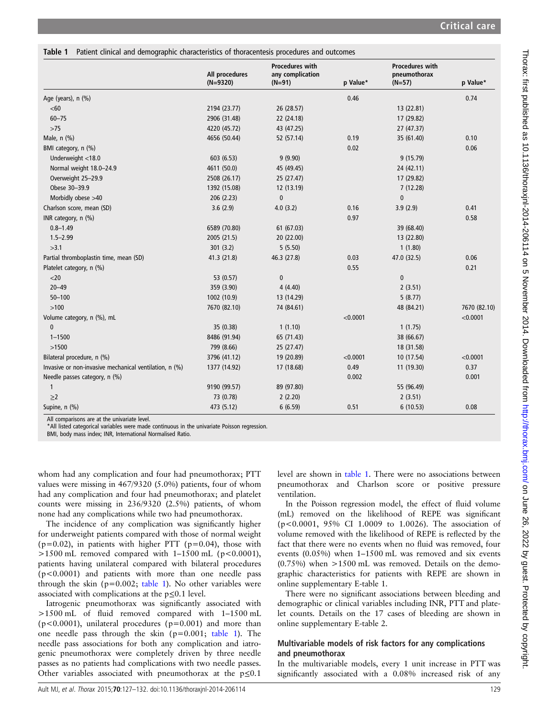<span id="page-2-0"></span>

|                                                        | All procedures<br>$(N=9320)$ | <b>Procedures with</b><br>any complication<br>$(N=91)$ | p Value* | <b>Procedures with</b><br>pneumothorax<br>$(N=57)$ | p Value*     |
|--------------------------------------------------------|------------------------------|--------------------------------------------------------|----------|----------------------------------------------------|--------------|
| Age (years), n (%)                                     |                              |                                                        | 0.46     |                                                    | 0.74         |
| <60                                                    | 2194 (23.77)                 | 26 (28.57)                                             |          | 13 (22.81)                                         |              |
| $60 - 75$                                              | 2906 (31.48)                 | 22 (24.18)                                             |          | 17 (29.82)                                         |              |
| $>75$                                                  | 4220 (45.72)                 | 43 (47.25)                                             |          | 27 (47.37)                                         |              |
| Male, n (%)                                            | 4656 (50.44)                 | 52 (57.14)                                             | 0.19     | 35 (61.40)                                         | 0.10         |
| BMI category, n (%)                                    |                              |                                                        | 0.02     |                                                    | 0.06         |
| Underweight <18.0                                      | 603 (6.53)                   | 9(9.90)                                                |          | 9(15.79)                                           |              |
| Normal weight 18.0-24.9                                | 4611 (50.0)                  | 45 (49.45)                                             |          | 24 (42.11)                                         |              |
| Overweight 25-29.9                                     | 2508 (26.17)                 | 25 (27.47)                                             |          | 17 (29.82)                                         |              |
| Obese 30-39.9                                          | 1392 (15.08)                 | 12 (13.19)                                             |          | 7(12.28)                                           |              |
| Morbidly obese >40                                     | 206 (2.23)                   | $\pmb{0}$                                              |          | $\mathbf{0}$                                       |              |
| Charlson score, mean (SD)                              | 3.6(2.9)                     | 4.0(3.2)                                               | 0.16     | 3.9(2.9)                                           | 0.41         |
| INR category, n (%)                                    |                              |                                                        | 0.97     |                                                    | 0.58         |
| $0.8 - 1.49$                                           | 6589 (70.80)                 | 61 (67.03)                                             |          | 39 (68.40)                                         |              |
| $1.5 - 2.99$                                           | 2005 (21.5)                  | 20 (22.00)                                             |          | 13 (22.80)                                         |              |
| >3.1                                                   | 301(3.2)                     | 5(5.50)                                                |          | 1(1.80)                                            |              |
| Partial thromboplastin time, mean (SD)                 | 41.3 (21.8)                  | 46.3 (27.8)                                            | 0.03     | 47.0 (32.5)                                        | 0.06         |
| Platelet category, n (%)                               |                              |                                                        | 0.55     |                                                    | 0.21         |
| $<$ 20                                                 | 53 (0.57)                    | 0                                                      |          | $\pmb{0}$                                          |              |
| $20 - 49$                                              | 359 (3.90)                   | 4(4.40)                                                |          | 2(3.51)                                            |              |
| $50 - 100$                                             | 1002 (10.9)                  | 13 (14.29)                                             |          | 5(8.77)                                            |              |
| >100                                                   | 7670 (82.10)                 | 74 (84.61)                                             |          | 48 (84.21)                                         | 7670 (82.10) |
| Volume category, n (%), mL                             |                              |                                                        | < 0.0001 |                                                    | < 0.0001     |
| $\mathbf{0}$                                           | 35 (0.38)                    | 1(1.10)                                                |          | 1(1.75)                                            |              |
| $1 - 1500$                                             | 8486 (91.94)                 | 65 (71.43)                                             |          | 38 (66.67)                                         |              |
| >1500                                                  | 799 (8.66)                   | 25 (27.47)                                             |          | 18 (31.58)                                         |              |
| Bilateral procedure, n (%)                             | 3796 (41.12)                 | 19 (20.89)                                             | < 0.0001 | 10 (17.54)                                         | < 0.0001     |
| Invasive or non-invasive mechanical ventilation, n (%) | 1377 (14.92)                 | 17 (18.68)                                             | 0.49     | 11 (19.30)                                         | 0.37         |
| Needle passes category, n (%)                          |                              |                                                        | 0.002    |                                                    | 0.001        |
| 1                                                      | 9190 (99.57)                 | 89 (97.80)                                             |          | 55 (96.49)                                         |              |
| $\geq$ 2                                               | 73 (0.78)                    | 2(2.20)                                                |          | 2(3.51)                                            |              |
| Supine, n (%)                                          | 473 (5.12)                   | 6(6.59)                                                | 0.51     | 6(10.53)                                           | 0.08         |

All comparisons are at the univariate level.

\*All listed categorical variables were made continuous in the univariate Poisson regression.

BMI, body mass index; INR, International Normalised Ratio.

whom had any complication and four had pneumothorax; PTT values were missing in 467/9320 (5.0%) patients, four of whom had any complication and four had pneumothorax; and platelet counts were missing in 236/9320 (2.5%) patients, of whom none had any complications while two had pneumothorax.

The incidence of any complication was significantly higher for underweight patients compared with those of normal weight  $(p=0.02)$ , in patients with higher PTT ( $p=0.04$ ), those with  $>1500$  mL removed compared with 1-1500 mL (p<0.0001), patients having unilateral compared with bilateral procedures (p<0.0001) and patients with more than one needle pass through the skin ( $p=0.002$ ; table 1). No other variables were associated with complications at the  $p \le 0.1$  level.

Iatrogenic pneumothorax was significantly associated with >1500 mL of fluid removed compared with 1–1500 mL  $(p<0.0001)$ , unilateral procedures  $(p=0.001)$  and more than one needle pass through the skin (p=0.001; table 1). The needle pass associations for both any complication and iatrogenic pneumothorax were completely driven by three needle passes as no patients had complications with two needle passes. Other variables associated with pneumothorax at the  $p \le 0.1$ 

level are shown in table 1. There were no associations between pneumothorax and Charlson score or positive pressure ventilation.

In the Poisson regression model, the effect of fluid volume (mL) removed on the likelihood of REPE was significant (p<0.0001, 95% CI 1.0009 to 1.0026). The association of volume removed with the likelihood of REPE is reflected by the fact that there were no events when no fluid was removed, four events (0.05%) when 1–1500 mL was removed and six events  $(0.75\%)$  when  $>1500$  mL was removed. Details on the demographic characteristics for patients with REPE are shown in online supplementary E-table 1.

There were no significant associations between bleeding and demographic or clinical variables including INR, PTT and platelet counts. Details on the 17 cases of bleeding are shown in online supplementary E-table 2.

# Multivariable models of risk factors for any complications and pneumothorax

In the multivariable models, every 1 unit increase in PTT was significantly associated with a 0.08% increased risk of any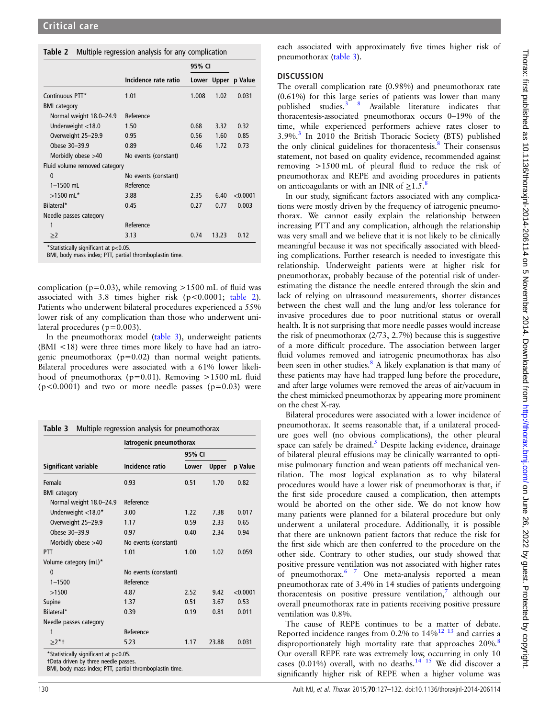<span id="page-3-0"></span>

|  |  |  |  |  | Table 2 Multiple regression analysis for any complication |
|--|--|--|--|--|-----------------------------------------------------------|
|--|--|--|--|--|-----------------------------------------------------------|

|                                                                                                  |                      | 95% CI |       |                     |
|--------------------------------------------------------------------------------------------------|----------------------|--------|-------|---------------------|
|                                                                                                  | Incidence rate ratio |        |       | Lower Upper p Value |
| Continuous PTT*                                                                                  | 1.01                 | 1.008  | 1.02  | 0.031               |
| <b>BMI</b> category                                                                              |                      |        |       |                     |
| Normal weight 18.0-24.9                                                                          | Reference            |        |       |                     |
| Underweight <18.0                                                                                | 1.50                 | 0.68   | 3.32  | 0.32                |
| Overweight 25-29.9                                                                               | 0.95                 | 0.56   | 1.60  | 0.85                |
| Obese 30-39.9                                                                                    | 0.89                 | 0.46   | 1.72  | 0.73                |
| Morbidly obese $>40$                                                                             | No events (constant) |        |       |                     |
| Fluid volume removed category                                                                    |                      |        |       |                     |
| $\Omega$                                                                                         | No events (constant) |        |       |                     |
| $1 - 1500$ mL                                                                                    | Reference            |        |       |                     |
| $>1500$ mL*                                                                                      | 3.88                 | 2.35   | 6.40  | < 0.0001            |
| Bilateral*                                                                                       | 0.45                 | 0.27   | 0.77  | 0.003               |
| Needle passes category                                                                           |                      |        |       |                     |
| 1                                                                                                | Reference            |        |       |                     |
| $\geq$ 2                                                                                         | 3.13                 | 0.74   | 13.23 | 0.12                |
| *Statistically significant at p<0.05.<br>BMI, body mass index; PTT, partial thromboplastin time. |                      |        |       |                     |

complication ( $p=0.03$ ), while removing  $>1500$  mL of fluid was associated with 3.8 times higher risk (p<0.0001; table 2). Patients who underwent bilateral procedures experienced a 55% lower risk of any complication than those who underwent unilateral procedures ( $p=0.003$ ).

In the pneumothorax model (table 3), underweight patients (BMI <18) were three times more likely to have had an iatrogenic pneumothorax (p=0.02) than normal weight patients. Bilateral procedures were associated with a 61% lower likelihood of pneumothorax (p=0.01). Removing >1500 mL fluid  $(p<0.0001)$  and two or more needle passes  $(p=0.03)$  were

|  |  |  |  |  | Table 3 Multiple regression analysis for pneumothorax |
|--|--|--|--|--|-------------------------------------------------------|
|--|--|--|--|--|-------------------------------------------------------|

|                                                                               | latrogenic pneumothorax |        |              |          |  |  |
|-------------------------------------------------------------------------------|-------------------------|--------|--------------|----------|--|--|
|                                                                               |                         | 95% CI |              |          |  |  |
| Significant variable                                                          | Incidence ratio         | Lower  | <b>Upper</b> | p Value  |  |  |
| Female                                                                        | 0.93                    | 0.51   | 1.70         | 0.82     |  |  |
| <b>BMI</b> category                                                           |                         |        |              |          |  |  |
| Normal weight 18.0-24.9                                                       | Reference               |        |              |          |  |  |
| Underweight <18.0*                                                            | 3.00                    | 1.22   | 7.38         | 0.017    |  |  |
| Overweight 25-29.9                                                            | 1.17                    | 0.59   | 2.33         | 0.65     |  |  |
| Ohese 30-39.9                                                                 | 0.97                    | 0.40   | 2.34         | 0.94     |  |  |
| Morbidly obese >40                                                            | No events (constant)    |        |              |          |  |  |
| PTT                                                                           | 1.01                    | 1.00   | 1.02         | 0.059    |  |  |
| Volume category (mL)*                                                         |                         |        |              |          |  |  |
| $\mathbf{0}$                                                                  | No events (constant)    |        |              |          |  |  |
| $1 - 1500$                                                                    | Reference               |        |              |          |  |  |
| >1500                                                                         | 4.87                    | 2.52   | 9.42         | < 0.0001 |  |  |
| Supine                                                                        | 1.37                    | 0.51   | 3.67         | 0.53     |  |  |
| Bilateral*                                                                    | 0.39                    | 0.19   | 0.81         | 0.011    |  |  |
| Needle passes category                                                        |                         |        |              |          |  |  |
| 1                                                                             | Reference               |        |              |          |  |  |
| $>2*t$                                                                        | 5.23                    | 1.17   | 23.88        | 0.031    |  |  |
| *Statistically significant at p<0.05.<br>+ Dete duizze bu thuga noodlo noocoo |                         |        |              |          |  |  |

†Data driven by three needle passes.

BMI, body mass index; PTT, partial thromboplastin time.

each associated with approximately five times higher risk of pneumothorax (table 3).

#### **DISCUSSION**

The overall complication rate (0.98%) and pneumothorax rate (0.61%) for this large series of patients was lower than many published studies.[3 8](#page-4-0) Available literature indicates that thoracentesis-associated pneumothorax occurs 0–19% of the time, while experienced performers achieve rates closer to  $3.9\%$ .<sup>3</sup> In 2010 the British Thoracic Society (BTS) published the only clinical guidelines for thoracentesis.<sup>[8](#page-4-0)</sup> Their consensus statement, not based on quality evidence, recommended against removing >1500 mL of pleural fluid to reduce the risk of pneumothorax and REPE and avoiding procedures in patients on anticoagulants or with an INR of  $\geq 1.5$ .<sup>[8](#page-4-0)</sup>

In our study, significant factors associated with any complications were mostly driven by the frequency of iatrogenic pneumothorax. We cannot easily explain the relationship between increasing PTT and any complication, although the relationship was very small and we believe that it is not likely to be clinically meaningful because it was not specifically associated with bleeding complications. Further research is needed to investigate this relationship. Underweight patients were at higher risk for pneumothorax, probably because of the potential risk of underestimating the distance the needle entered through the skin and lack of relying on ultrasound measurements, shorter distances between the chest wall and the lung and/or less tolerance for invasive procedures due to poor nutritional status or overall health. It is not surprising that more needle passes would increase the risk of pneumothorax (2/73, 2.7%) because this is suggestive of a more difficult procedure. The association between larger fluid volumes removed and iatrogenic pneumothorax has also been seen in other studies. $8 \text{ A}$  $8 \text{ A}$  likely explanation is that many of these patients may have had trapped lung before the procedure, and after large volumes were removed the areas of air/vacuum in the chest mimicked pneumothorax by appearing more prominent on the chest X-ray.

Bilateral procedures were associated with a lower incidence of pneumothorax. It seems reasonable that, if a unilateral procedure goes well (no obvious complications), the other pleural space can safely be drained.<sup>[5](#page-4-0)</sup> Despite lacking evidence, drainage of bilateral pleural effusions may be clinically warranted to optimise pulmonary function and wean patients off mechanical ventilation. The most logical explanation as to why bilateral procedures would have a lower risk of pneumothorax is that, if the first side procedure caused a complication, then attempts would be aborted on the other side. We do not know how many patients were planned for a bilateral procedure but only underwent a unilateral procedure. Additionally, it is possible that there are unknown patient factors that reduce the risk for the first side which are then conferred to the procedure on the other side. Contrary to other studies, our study showed that positive pressure ventilation was not associated with higher rates of pneumothorax[.6 7](#page-4-0) One meta-analysis reported a mean pneumothorax rate of 3.4% in 14 studies of patients undergoing thoracentesis on positive pressure ventilation, $\bar{z}$  although our overall pneumothorax rate in patients receiving positive pressure ventilation was 0.8%.

The cause of REPE continues to be a matter of debate. Reported incidence ranges from  $0.2\%$  to  $14\%$ <sup>[12 13](#page-4-0)</sup> and carries a disproportionately high mortality rate that approaches 20%.<sup>[8](#page-4-0)</sup> Our overall REPE rate was extremely low, occurring in only 10 cases (0.01%) overall, with no deaths. $14 \frac{15}{15}$  We did discover a significantly higher risk of REPE when a higher volume was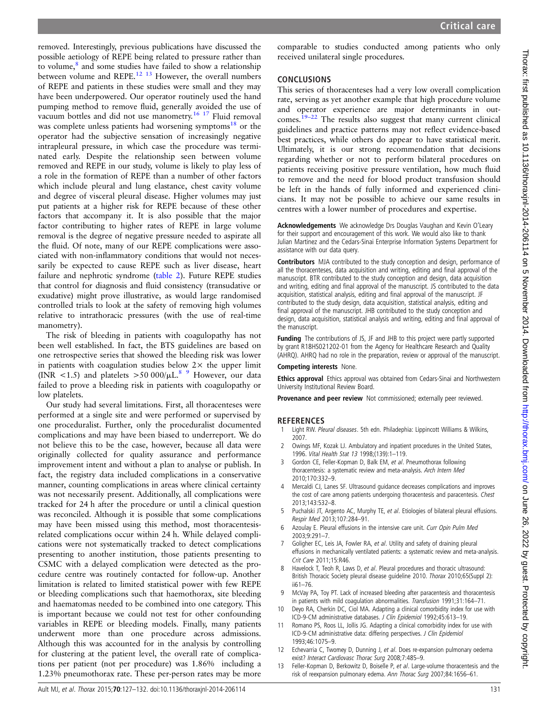<span id="page-4-0"></span>removed. Interestingly, previous publications have discussed the possible aetiology of REPE being related to pressure rather than to volume,<sup>8</sup> and some studies have failed to show a relationship between volume and REPE.<sup>12 13</sup> However, the overall numbers of REPE and patients in these studies were small and they may have been underpowered. Our operator routinely used the hand pumping method to remove fluid, generally avoided the use of vacuum bottles and did not use manometry.<sup>[16 17](#page-5-0)</sup> Fluid removal was complete unless patients had worsening symptoms $^{18}$  $^{18}$  $^{18}$  or the operator had the subjective sensation of increasingly negative intrapleural pressure, in which case the procedure was terminated early. Despite the relationship seen between volume removed and REPE in our study, volume is likely to play less of a role in the formation of REPE than a number of other factors which include pleural and lung elastance, chest cavity volume and degree of visceral pleural disease. Higher volumes may just put patients at a higher risk for REPE because of these other factors that accompany it. It is also possible that the major factor contributing to higher rates of REPE in large volume removal is the degree of negative pressure needed to aspirate all the fluid. Of note, many of our REPE complications were associated with non-inflammatory conditions that would not necessarily be expected to cause REPE such as liver disease, heart failure and nephrotic syndrome [\(table 2](#page-3-0)). Future REPE studies that control for diagnosis and fluid consistency (transudative or exudative) might prove illustrative, as would large randomised controlled trials to look at the safety of removing high volumes relative to intrathoracic pressures (with the use of real-time manometry).

The risk of bleeding in patients with coagulopathy has not been well established. In fact, the BTS guidelines are based on one retrospective series that showed the bleeding risk was lower in patients with coagulation studies below  $2 \times$  the upper limit (INR <1.5) and platelets  $>50000/\mu L$ .<sup>8</sup> 9 However, our data failed to prove a bleeding risk in patients with coagulopathy or low platelets.

Our study had several limitations. First, all thoracenteses were performed at a single site and were performed or supervised by one proceduralist. Further, only the proceduralist documented complications and may have been biased to underreport. We do not believe this to be the case, however, because all data were originally collected for quality assurance and performance improvement intent and without a plan to analyse or publish. In fact, the registry data included complications in a conservative manner, counting complications in areas where clinical certainty was not necessarily present. Additionally, all complications were tracked for 24 h after the procedure or until a clinical question was reconciled. Although it is possible that some complications may have been missed using this method, most thoracentesisrelated complications occur within 24 h. While delayed complications were not systematically tracked to detect complications presenting to another institution, those patients presenting to CSMC with a delayed complication were detected as the procedure centre was routinely contacted for follow-up. Another limitation is related to limited statistical power with few REPE or bleeding complications such that haemothorax, site bleeding and haematomas needed to be combined into one category. This is important because we could not test for other confounding variables in REPE or bleeding models. Finally, many patients underwent more than one procedure across admissions. Although this was accounted for in the analysis by controlling for clustering at the patient level, the overall rate of complications per patient (not per procedure) was 1.86% including a 1.23% pneumothorax rate. These per-person rates may be more

# **CONCLUSIONS**

This series of thoracenteses had a very low overall complication rate, serving as yet another example that high procedure volume and operator experience are major determinants in outcomes.19–[22](#page-5-0) The results also suggest that many current clinical guidelines and practice patterns may not reflect evidence-based best practices, while others do appear to have statistical merit. Ultimately, it is our strong recommendation that decisions regarding whether or not to perform bilateral procedures on patients receiving positive pressure ventilation, how much fluid to remove and the need for blood product transfusion should be left in the hands of fully informed and experienced clinicians. It may not be possible to achieve our same results in centres with a lower number of procedures and expertise.

Acknowledgements We acknowledge Drs Douglas Vaughan and Kevin O'Leary for their support and encouragement of this work. We would also like to thank Julian Martinez and the Cedars-Sinai Enterprise Information Systems Department for assistance with our data query.

Contributors MJA contributed to the study conception and design, performance of all the thoracenteses, data acquisition and writing, editing and final approval of the manuscript. BTR contributed to the study conception and design, data acquisition and writing, editing and final approval of the manuscript. JS contributed to the data acquisition, statistical analysis, editing and final approval of the manuscript. JF contributed to the study design, data acquisition, statistical analysis, editing and final approval of the manuscript. JHB contributed to the study conception and design, data acquisition, statistical analysis and writing, editing and final approval of the manuscript.

Funding The contributions of JS, JF and JHB to this project were partly supported by grant R18HS021202-01 from the Agency for Healthcare Research and Quality (AHRQ). AHRQ had no role in the preparation, review or approval of the manuscript.

#### Competing interests None.

**Ethics approval** Ethics approval was obtained from Cedars-Sinai and Northwestern University Institutional Review Board.

Provenance and peer review Not commissioned; externally peer reviewed.

#### **REFERENCES**

- 1 Light RW. Pleural diseases. 5th edn. Philadephia: Lippincott Williams & Wilkins, 2007.
- 2 Owings MF, Kozak LJ. Ambulatory and inpatient procedures in the United States, 1996. Vital Health Stat 13 1998;(139):1–119.
- Gordon CE, Feller-Kopman D, Balk EM, et al. Pneumothorax following thoracentesis: a systematic review and meta-analysis. Arch Intern Med 2010;170:332–9.
- 4 Mercaldi CJ, Lanes SF. Ultrasound guidance decreases complications and improves the cost of care among patients undergoing thoracentesis and paracentesis. Chest 2013;143:532–8.
- Puchalski JT, Argento AC, Murphy TE, et al. Etiologies of bilateral pleural effusions. Respir Med 2013;107:284–91.
- 6 Azoulay E. Pleural effusions in the intensive care unit. Curr Opin Pulm Med 2003;9:291–7.
- 7 Goligher EC, Leis JA, Fowler RA, et al. Utility and safety of draining pleural effusions in mechanically ventilated patients: a systematic review and meta-analysis. Crit Care 2011;15:R46.
- 8 Havelock T, Teoh R, Laws D, et al. Pleural procedures and thoracic ultrasound: British Thoracic Society pleural disease guideline 2010. Thorax 2010;65(Suppl 2): ii61–76.
- 9 McVay PA, Toy PT. Lack of increased bleeding after paracentesis and thoracentesis in patients with mild coagulation abnormalities. Transfusion 1991;31:164–71.
- 10 Deyo RA, Cherkin DC, Ciol MA. Adapting a clinical comorbidity index for use with ICD-9-CM administrative databases. J Clin Epidemiol 1992;45:613–19.
- 11 Romano PS, Roos LL, Jollis JG. Adapting a clinical comorbidity index for use with ICD-9-CM administrative data: differing perspectives. J Clin Epidemiol 1993;46:1075–9.
- 12 Echevarria C, Twomey D, Dunning J, et al. Does re-expansion pulmonary oedema exist? Interact Cardiovasc Thorac Surg 2008;7:485–9.
- 13 Feller-Kopman D, Berkowitz D, Boiselle P, et al. Large-volume thoracentesis and the risk of reexpansion pulmonary edema. Ann Thorac Surg 2007;84:1656–61.